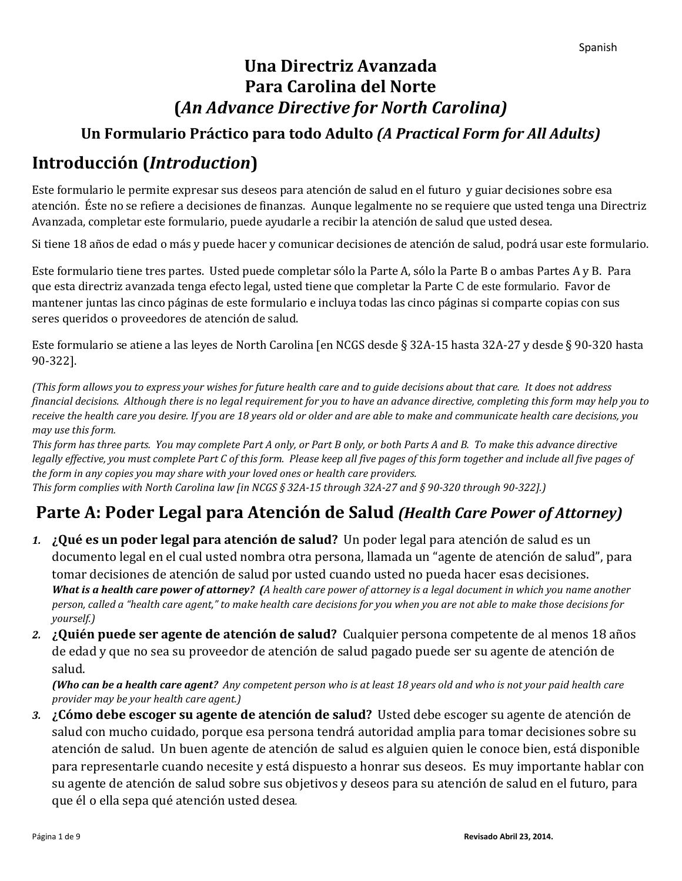## **Una Directriz Avanzada Para Carolina del Norte (***An Advance Directive for North Carolina)*

## **Un Formulario Práctico para todo Adulto** *(A Practical Form for All Adults)*

## **Introducción (***Introduction***)**

Este formulario le permite expresar sus deseos para atención de salud en el futuro y guiar decisiones sobre esa atención. Éste no se refiere a decisiones de finanzas. Aunque legalmente no se requiere que usted tenga una Directriz Avanzada, completar este formulario, puede ayudarle a recibir la atención de salud que usted desea.

Si tiene 18 años de edad o más y puede hacer y comunicar decisiones de atención de salud, podrá usar este formulario.

Este formulario tiene tres partes. Usted puede completar sólo la Parte A, sólo la Parte B o ambas Partes A y B. Para que esta directriz avanzada tenga efecto legal, usted tiene que completar la Parte C de este formulario. Favor de mantener juntas las cinco páginas de este formulario e incluya todas las cinco páginas si comparte copias con sus seres queridos o proveedores de atención de salud.

Este formulario se atiene a las leyes de North Carolina [en NCGS desde § 32A-15 hasta 32A-27 y desde § 90-320 hasta 90-322].

*(This form allows you to express your wishes for future health care and to guide decisions about that care. It does not address financial decisions. Although there is no legal requirement for you to have an advance directive, completing this form may help you to receive the health care you desire. If you are 18 years old or older and are able to make and communicate health care decisions, you may use this form.* 

*This form has three parts. You may complete Part A only, or Part B only, or both Parts A and B. To make this advance directive*  legally effective, you must complete Part C of this form. Please keep all five pages of this form together and include all five pages of *the form in any copies you may share with your loved ones or health care providers. This form complies with North Carolina law [in NCGS § 32A-15 through 32A-27 and § 90-320 through 90-322].)*

# **Parte A: Poder Legal para Atención de Salud** *(Health Care Power of Attorney)*

- *1.* **¿Qué es un poder legal para atención de salud?** Un poder legal para atención de salud es un documento legal en el cual usted nombra otra persona, llamada un "agente de atención de salud", para tomar decisiones de atención de salud por usted cuando usted no pueda hacer esas decisiones. *What is a health care power of attorney? (A health care power of attorney is a legal document in which you name another person, called a "health care agent," to make health care decisions for you when you are not able to make those decisions for yourself.)*
- *2.* **¿Quién puede ser agente de atención de salud?** Cualquier persona competente de al menos 18 años de edad y que no sea su proveedor de atención de salud pagado puede ser su agente de atención de salud.

*(Who can be a health care agent? Any competent person who is at least 18 years old and who is not your paid health care provider may be your health care agent.)*

*3.* **¿Cómo debe escoger su agente de atención de salud?** Usted debe escoger su agente de atención de salud con mucho cuidado, porque esa persona tendrá autoridad amplia para tomar decisiones sobre su atención de salud. Un buen agente de atención de salud es alguien quien le conoce bien, está disponible para representarle cuando necesite y está dispuesto a honrar sus deseos. Es muy importante hablar con su agente de atención de salud sobre sus objetivos y deseos para su atención de salud en el futuro, para que él o ella sepa qué atención usted desea*.*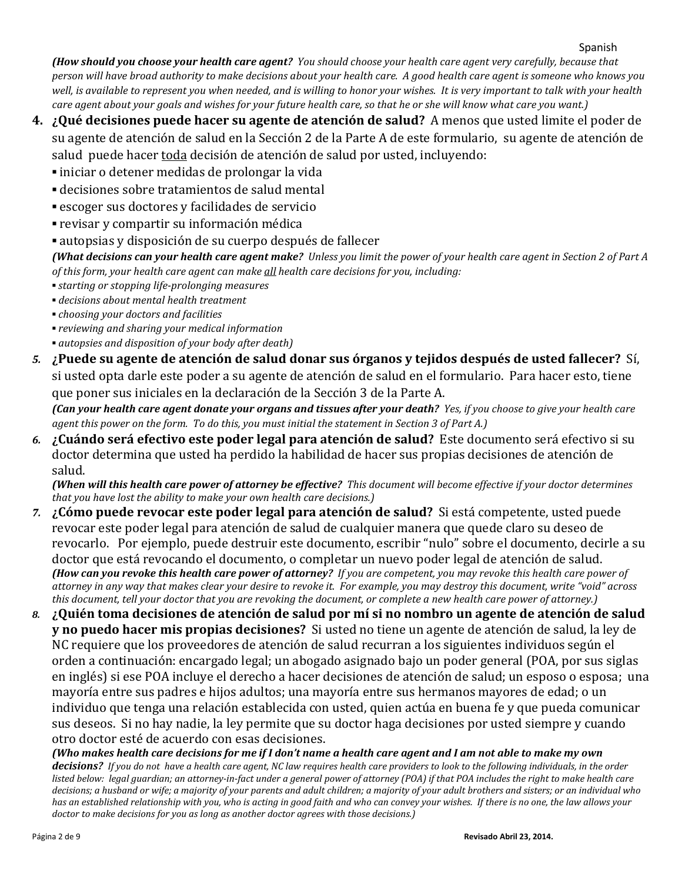#### Spanish

*(How should you choose your health care agent? You should choose your health care agent very carefully, because that person will have broad authority to make decisions about your health care. A good health care agent is someone who knows you well, is available to represent you when needed, and is willing to honor your wishes. It is very important to talk with your health care agent about your goals and wishes for your future health care, so that he or she will know what care you want.)*

- **4. ¿Qué decisiones puede hacer su agente de atención de salud?** A menos que usted limite el poder de su agente de atención de salud en la Sección 2 de la Parte A de este formulario, su agente de atención de salud puede hacer toda decisión de atención de salud por usted, incluyendo:
	- **▪** iniciar o detener medidas de prolongar la vida
	- **▪** decisiones sobre tratamientos de salud mental
	- **▪** escoger sus doctores y facilidades de servicio
	- **▪** revisar y compartir su información médica
	- **▪** autopsias y disposición de su cuerpo después de fallecer

*(What decisions can your health care agent make? Unless you limit the power of your health care agent in Section 2 of Part A of this form, your health care agent can make all health care decisions for you, including:*

- *▪ starting or stopping life-prolonging measures*
- *▪ decisions about mental health treatment*
- *▪ choosing your doctors and facilities*
- *▪ reviewing and sharing your medical information*
- *▪ autopsies and disposition of your body after death)*
- *5.* **¿Puede su agente de atención de salud donar sus órganos y tejidos después de usted fallecer?** Sí, si usted opta darle este poder a su agente de atención de salud en el formulario. Para hacer esto, tiene que poner sus iniciales en la declaración de la Sección 3 de la Parte A.

*(Can your health care agent donate your organs and tissues after your death? Yes, if you choose to give your health care agent this power on the form. To do this, you must initial the statement in Section 3 of Part A.)*

*6.* **¿Cuándo será efectivo este poder legal para atención de salud?** Este documento será efectivo si su doctor determina que usted ha perdido la habilidad de hacer sus propias decisiones de atención de salud.

*(When will this health care power of attorney be effective? This document will become effective if your doctor determines that you have lost the ability to make your own health care decisions.)*

- *7.* **¿Cómo puede revocar este poder legal para atención de salud?** Si está competente, usted puede revocar este poder legal para atención de salud de cualquier manera que quede claro su deseo de revocarlo. Por ejemplo, puede destruir este documento, escribir "nulo" sobre el documento, decirle a su doctor que está revocando el documento, o completar un nuevo poder legal de atención de salud. *(How can you revoke this health care power of attorney? If you are competent, you may revoke this health care power of attorney in any way that makes clear your desire to revoke it. For example, you may destroy this document, write "void" across this document, tell your doctor that you are revoking the document, or complete a new health care power of attorney.)*
- *8.* **¿Quién toma decisiones de atención de salud por mí si no nombro un agente de atención de salud y no puedo hacer mis propias decisiones?** Si usted no tiene un agente de atención de salud, la ley de NC requiere que los proveedores de atención de salud recurran a los siguientes individuos según el orden a continuación: encargado legal; un abogado asignado bajo un poder general (POA, por sus siglas en inglés) si ese POA incluye el derecho a hacer decisiones de atención de salud; un esposo o esposa; una mayoría entre sus padres e hijos adultos; una mayoría entre sus hermanos mayores de edad; o un individuo que tenga una relación establecida con usted, quien actúa en buena fe y que pueda comunicar sus deseos. Si no hay nadie, la ley permite que su doctor haga decisiones por usted siempre y cuando otro doctor esté de acuerdo con esas decisiones.

*(Who makes health care decisions for me if I don't name a health care agent and I am not able to make my own decisions? If you do not have a health care agent, NC law requires health care providers to look to the following individuals, in the order listed below: legal guardian; an attorney-in-fact under a general power of attorney (POA) if that POA includes the right to make health care decisions; a husband or wife; a majority of your parents and adult children; a majority of your adult brothers and sisters; or an individual who has an established relationship with you, who is acting in good faith and who can convey your wishes. If there is no one, the law allows your doctor to make decisions for you as long as another doctor agrees with those decisions.)*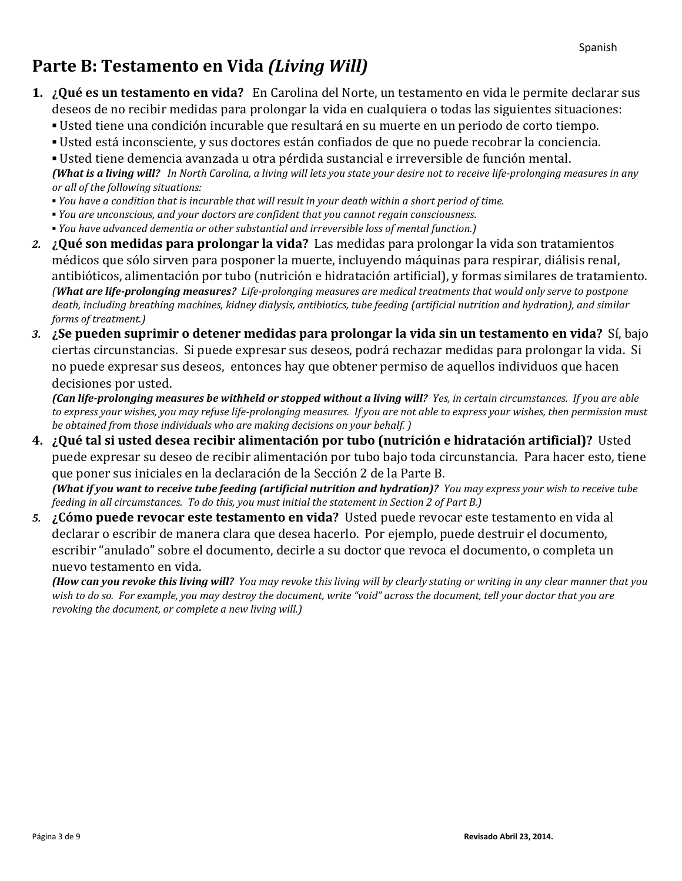## **Parte B: Testamento en Vida** *(Living Will)*

- **1. ¿Qué es un testamento en vida?** En Carolina del Norte, un testamento en vida le permite declarar sus deseos de no recibir medidas para prolongar la vida en cualquiera o todas las siguientes situaciones:
	- **▪** Usted tiene una condición incurable que resultará en su muerte en un periodo de corto tiempo.
	- **▪** Usted está inconsciente, y sus doctores están confiados de que no puede recobrar la conciencia.

**▪** Usted tiene demencia avanzada u otra pérdida sustancial e irreversible de función mental. *(What is a living will? In North Carolina, a living will lets you state your desire not to receive life-prolonging measures in any or all of the following situations:*

- *▪ You have a condition that is incurable that will result in your death within a short period of time.*
- *▪ You are unconscious, and your doctors are confident that you cannot regain consciousness.*
- *▪ You have advanced dementia or other substantial and irreversible loss of mental function.)*
- *2.* **¿Qué son medidas para prolongar la vida?** Las medidas para prolongar la vida son tratamientos médicos que sólo sirven para posponer la muerte, incluyendo máquinas para respirar, diálisis renal, antibióticos, alimentación por tubo (nutrición e hidratación artificial), y formas similares de tratamiento. *(What are life-prolonging measures? Life-prolonging measures are medical treatments that would only serve to postpone death, including breathing machines, kidney dialysis, antibiotics, tube feeding (artificial nutrition and hydration), and similar forms of treatment.)*
- *3.* **¿Se pueden suprimir o detener medidas para prolongar la vida sin un testamento en vida?** Sí, bajo ciertas circunstancias. Si puede expresar sus deseos, podrá rechazar medidas para prolongar la vida. Si no puede expresar sus deseos, entonces hay que obtener permiso de aquellos individuos que hacen decisiones por usted.

*(Can life-prolonging measures be withheld or stopped without a living will? Yes, in certain circumstances. If you are able to express your wishes, you may refuse life-prolonging measures. If you are not able to express your wishes, then permission must be obtained from those individuals who are making decisions on your behalf. )* 

**4. ¿Qué tal si usted desea recibir alimentación por tubo (nutrición e hidratación artificial)?** Usted puede expresar su deseo de recibir alimentación por tubo bajo toda circunstancia. Para hacer esto, tiene que poner sus iniciales en la declaración de la Sección 2 de la Parte B.

*(What if you want to receive tube feeding (artificial nutrition and hydration)? You may express your wish to receive tube feeding in all circumstances. To do this, you must initial the statement in Section 2 of Part B.)*

*5.* **¿Cómo puede revocar este testamento en vida?** Usted puede revocar este testamento en vida al declarar o escribir de manera clara que desea hacerlo. Por ejemplo, puede destruir el documento, escribir "anulado" sobre el documento, decirle a su doctor que revoca el documento, o completa un nuevo testamento en vida.

*(How can you revoke this living will? You may revoke this living will by clearly stating or writing in any clear manner that you wish to do so. For example, you may destroy the document, write "void" across the document, tell your doctor that you are revoking the document, or complete a new living will.)*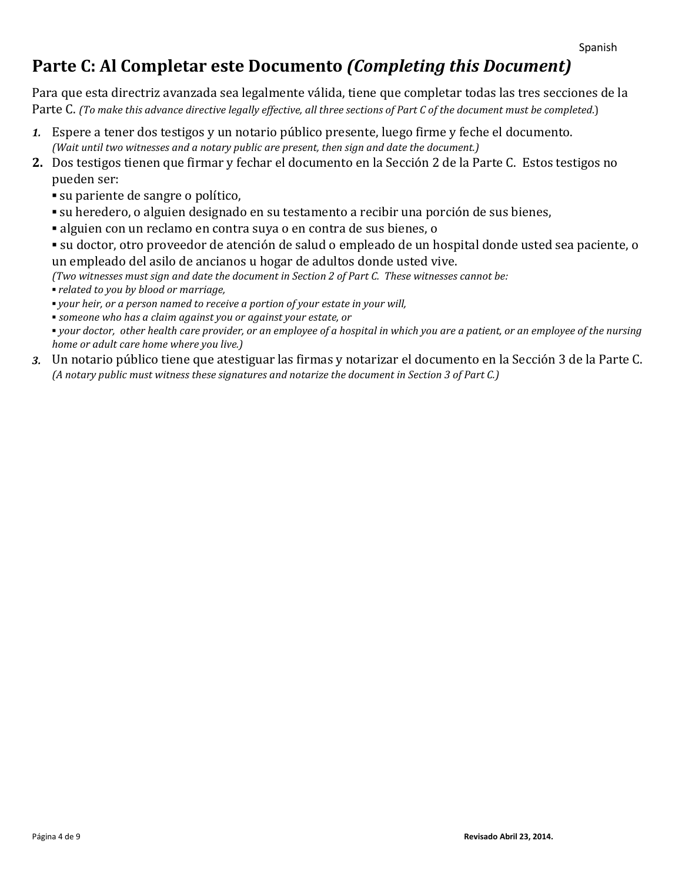## **Parte C: Al Completar este Documento** *(Completing this Document)*

Para que esta directriz avanzada sea legalmente válida, tiene que completar todas las tres secciones de la Parte C. *(To make this advance directive legally effective, all three sections of Part C of the document must be completed*.)

- *1.* Espere a tener dos testigos y un notario público presente, luego firme y feche el documento. *(Wait until two witnesses and a notary public are present, then sign and date the document.)*
- **2.** Dos testigos tienen que firmar y fechar el documento en la Sección 2 de la Parte C. Estos testigos no pueden ser:
	- **▪** su pariente de sangre o político,
	- **▪** su heredero, o alguien designado en su testamento a recibir una porción de sus bienes,
	- **▪** alguien con un reclamo en contra suya o en contra de sus bienes, o
	- **▪** su doctor, otro proveedor de atención de salud o empleado de un hospital donde usted sea paciente, o un empleado del asilo de ancianos u hogar de adultos donde usted vive.

*(Two witnesses must sign and date the document in Section 2 of Part C. These witnesses cannot be:*

*▪ related to you by blood or marriage,*

*▪ your heir, or a person named to receive a portion of your estate in your will,* 

*▪ someone who has a claim against you or against your estate, or*

*▪ your doctor, other health care provider, or an employee of a hospital in which you are a patient, or an employee of the nursing home or adult care home where you live.)* 

*3.* Un notario público tiene que atestiguar las firmas y notarizar el documento en la Sección 3 de la Parte C. *(A notary public must witness these signatures and notarize the document in Section 3 of Part C.)*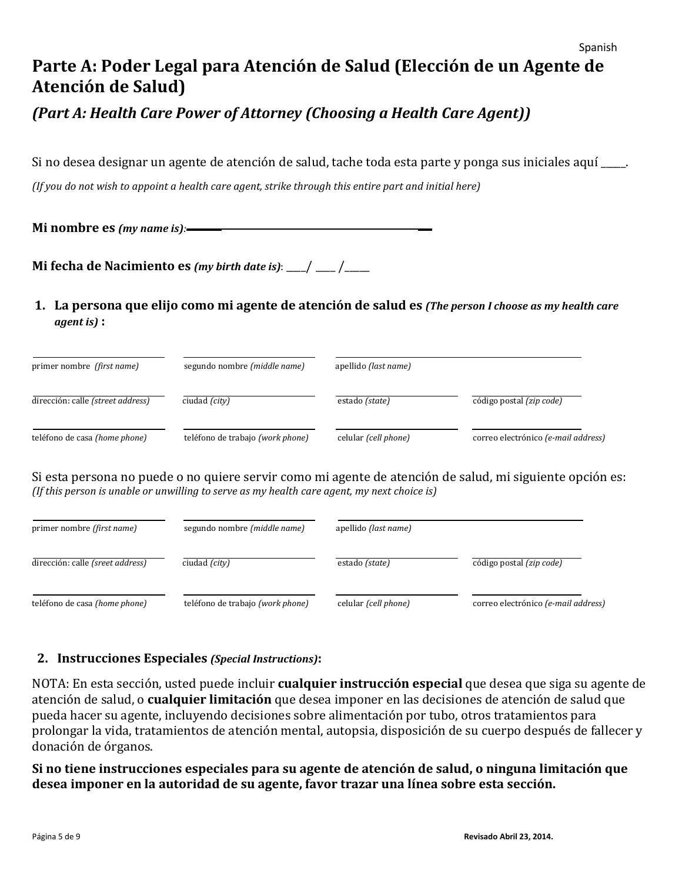# **Parte A: Poder Legal para Atención de Salud (Elección de un Agente de Atención de Salud)**

## *(Part A: Health Care Power of Attorney (Choosing a Health Care Agent))*

Si no desea designar un agente de atención de salud, tache toda esta parte y ponga sus iniciales aquí \_\_\_\_\_.

*(If you do not wish to appoint a health care agent, strike through this entire part and initial here)*

**Mi nombre es** *(my name is):*

**Mi fecha de Nacimiento es** *(my birth date is)*:  $\boxed{\mathbf{y}}$   $\boxed{\mathbf{y}}$ 

**1. La persona que elijo como mi agente de atención de salud es** *(The person I choose as my health care agent is)* **:** 

| primer nombre (first name)        | segundo nombre (middle name)     | apellido (last name) |                                                       |
|-----------------------------------|----------------------------------|----------------------|-------------------------------------------------------|
| dirección: calle (street address) | ciudad (city)                    | estado (state)       | $\overline{\text{código postal}}$ ( <i>zip code</i> ) |
| teléfono de casa (home phone)     | teléfono de trabajo (work phone) | celular (cell phone) | correo electrónico (e-mail address)                   |

Si esta persona no puede o no quiere servir como mi agente de atención de salud, mi siguiente opción es: *(If this person is unable or unwilling to serve as my health care agent, my next choice is)*

| primer nombre (first name)       | segundo nombre (middle name)     | apellido (last name) |                                                       |
|----------------------------------|----------------------------------|----------------------|-------------------------------------------------------|
| dirección: calle (sreet address) | ciudad $(city)$                  | estado (state)       | $\overline{\text{código postal}}$ ( <i>zip code</i> ) |
| teléfono de casa (home phone)    | teléfono de trabajo (work phone) | celular (cell phone) | correo electrónico (e-mail address)                   |

#### **2. Instrucciones Especiales** *(Special Instructions)***:**

NOTA: En esta sección, usted puede incluir **cualquier instrucción especial** que desea que siga su agente de atención de salud, o **cualquier limitación** que desea imponer en las decisiones de atención de salud que pueda hacer su agente, incluyendo decisiones sobre alimentación por tubo, otros tratamientos para prolongar la vida, tratamientos de atención mental, autopsia, disposición de su cuerpo después de fallecer y donación de órganos.

**Si no tiene instrucciones especiales para su agente de atención de salud, o ninguna limitación que desea imponer en la autoridad de su agente, favor trazar una línea sobre esta sección.** 

Spanish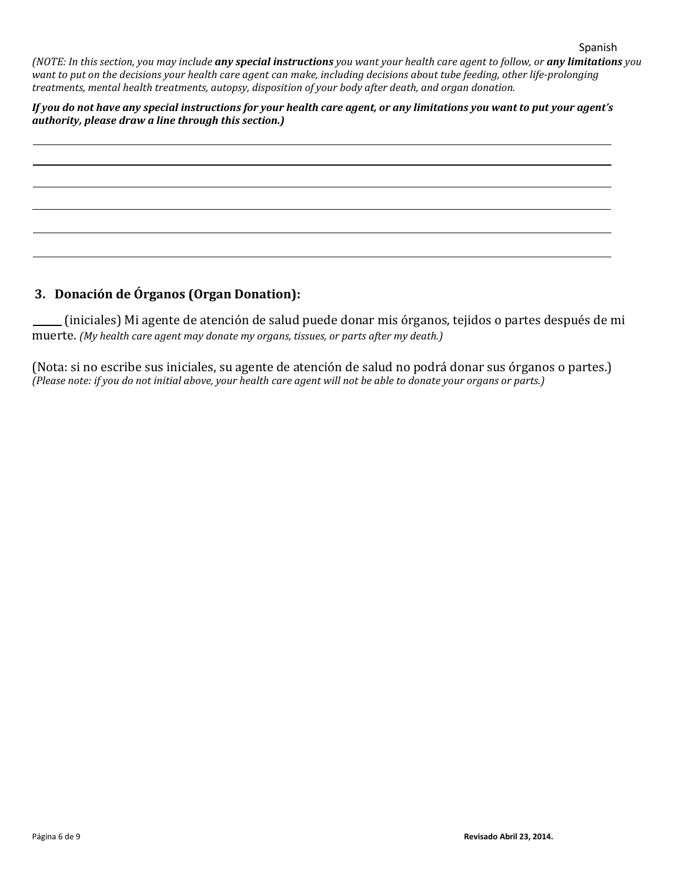*(NOTE: In this section, you may include any special instructions you want your health care agent to follow, or any limitations you want to put on the decisions your health care agent can make, including decisions about tube feeding, other life-prolonging treatments, mental health treatments, autopsy, disposition of your body after death, and organ donation.*

*If you do not have any special instructions for your health care agent, or any limitations you want to put your agent's authority, please draw a line through this section.)*

#### **3. Donación de Órganos (Organ Donation):**

 (iniciales) Mi agente de atención de salud puede donar mis órganos, tejidos o partes después de mi muerte. *(My health care agent may donate my organs, tissues, or parts after my death.)*

(Nota: si no escribe sus iniciales, su agente de atención de salud no podrá donar sus órganos o partes.) *(Please note: if you do not initial above, your health care agent will not be able to donate your organs or parts.)*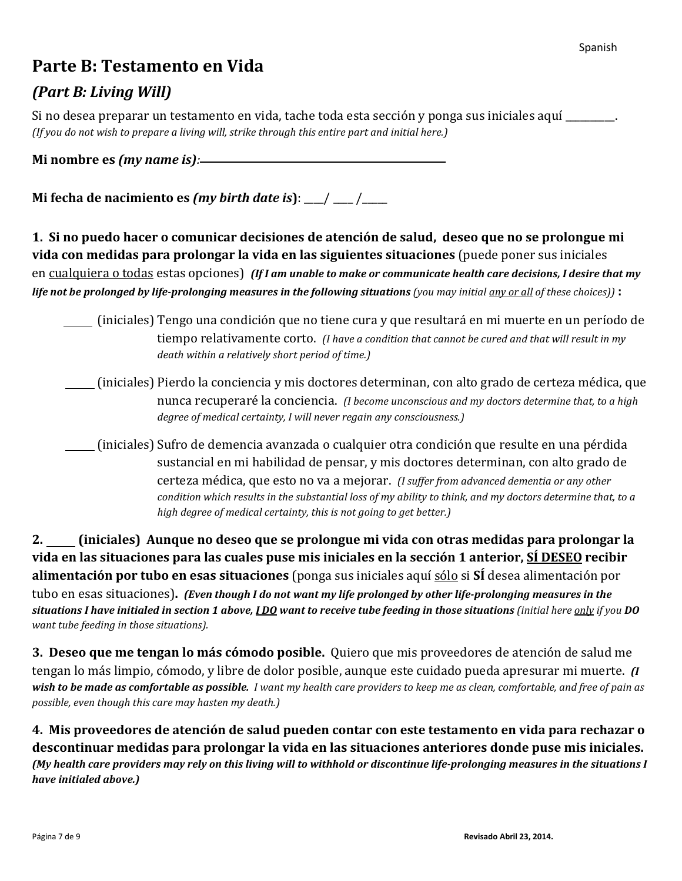## **Parte B: Testamento en Vida**

## *(Part B: Living Will)*

Si no desea preparar un testamento en vida, tache toda esta sección y ponga sus iniciales aquí \_\_\_\_\_\_\_\_\_\_. *(If you do not wish to prepare a living will, strike through this entire part and initial here.)*

**Mi nombre es** *(my name is):*

**Mi fecha de nacimiento es** *(my birth date is***)**: \_\_\_\_/ \_\_\_\_ /\_\_\_\_\_

**1. Si no puedo hacer o comunicar decisiones de atención de salud, deseo que no se prolongue mi vida con medidas para prolongar la vida en las siguientes situaciones** (puede poner sus iniciales en cualquiera o todas estas opciones)*(If I am unable to make or communicate health care decisions, I desire that my life not be prolonged by life-prolonging measures in the following situations (you may initial <u>any or all</u> <i>of these choices*)) :

(iniciales) Tengo una condición que no tiene cura y que resultará en mi muerte en un período de tiempo relativamente corto. *(I have a condition that cannot be cured and that will result in my death within a relatively short period of time.)*

 (iniciales) Pierdo la conciencia y mis doctores determinan, con alto grado de certeza médica, que nunca recuperaré la conciencia. *(I become unconscious and my doctors determine that, to a high degree of medical certainty, I will never regain any consciousness.)*

 (iniciales) Sufro de demencia avanzada o cualquier otra condición que resulte en una pérdida sustancial en mi habilidad de pensar, y mis doctores determinan, con alto grado de certeza médica, que esto no va a mejorar. *(I suffer from advanced dementia or any other condition which results in the substantial loss of my ability to think, and my doctors determine that, to a high degree of medical certainty, this is not going to get better.)*

**2. (iniciales) Aunque no deseo que se prolongue mi vida con otras medidas para prolongar la vida en las situaciones para las cuales puse mis iniciales en la sección 1 anterior, SÍ DESEO recibir alimentación por tubo en esas situaciones** (ponga sus iniciales aquí sólo si **SÍ** desea alimentación por tubo en esas situaciones)**.** *(Even though I do not want my life prolonged by other life-prolonging measures in the situations I have initialed in section 1 above, I DO want to receive tube feeding in those situations (initial here only if you DO want tube feeding in those situations).*

**3. Deseo que me tengan lo más cómodo posible.** Quiero que mis proveedores de atención de salud me tengan lo más limpio, cómodo, y libre de dolor posible, aunque este cuidado pueda apresurar mi muerte. *(I wish to be made as comfortable as possible. I want my health care providers to keep me as clean, comfortable, and free of pain as possible, even though this care may hasten my death.)*

**4. Mis proveedores de atención de salud pueden contar con este testamento en vida para rechazar o descontinuar medidas para prolongar la vida en las situaciones anteriores donde puse mis iniciales.**  *(My health care providers may rely on this living will to withhold or discontinue life-prolonging measures in the situations I have initialed above.)*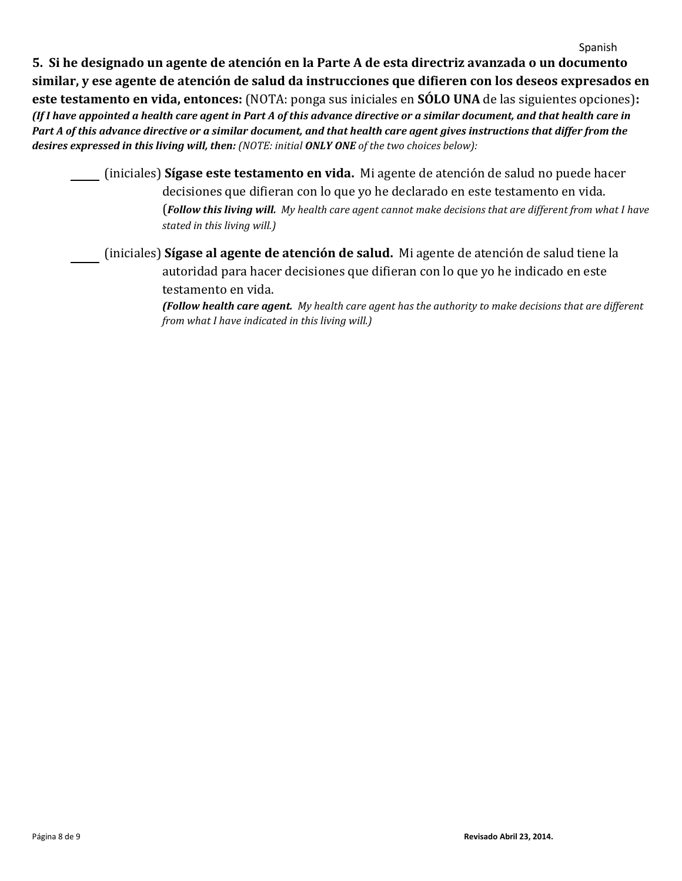**5. Si he designado un agente de atención en la Parte A de esta directriz avanzada o un documento similar, y ese agente de atención de salud da instrucciones que difieren con los deseos expresados en este testamento en vida, entonces:** (NOTA: ponga sus iniciales en **SÓLO UNA** de las siguientes opciones)**:**  *(If I have appointed a health care agent in Part A of this advance directive or a similar document, and that health care in Part A of this advance directive or a similar document, and that health care agent gives instructions that differ from the desires expressed in this living will, then: (NOTE: initial ONLY ONE of the two choices below):*

 (iniciales) **Sígase este testamento en vida.** Mi agente de atención de salud no puede hacer decisiones que difieran con lo que yo he declarado en este testamento en vida. (*Follow this living will. My health care agent cannot make decisions that are different from what I have stated in this living will.)*

 (iniciales) **Sígase al agente de atención de salud.** Mi agente de atención de salud tiene la autoridad para hacer decisiones que difieran con lo que yo he indicado en este testamento en vida.

> *(Follow health care agent. My health care agent has the authority to make decisions that are different from what I have indicated in this living will.)*